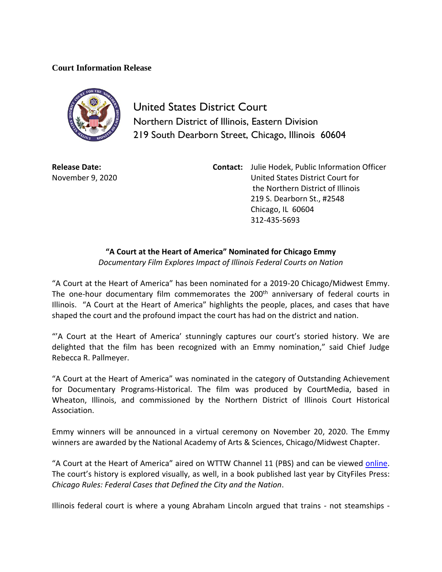## **Court Information Release**



United States District Court Northern District of Illinois, Eastern Division 219 South Dearborn Street, Chicago, Illinois 60604

**Release Date:** November 9, 2020

**Contact:** Julie Hodek, Public Information Officer United States District Court for the Northern District of Illinois 219 S. Dearborn St., #2548 Chicago, IL 60604 312-435-5693

## **"A Court at the Heart of America" Nominated for Chicago Emmy**

*Documentary Film Explores Impact of Illinois Federal Courts on Nation* 

"A Court at the Heart of America" has been nominated for a 2019-20 Chicago/Midwest Emmy. The one-hour documentary film commemorates the 200<sup>th</sup> anniversary of federal courts in Illinois. "A Court at the Heart of America" highlights the people, places, and cases that have shaped the court and the profound impact the court has had on the district and nation.

"'A Court at the Heart of America' stunningly captures our court's storied history. We are delighted that the film has been recognized with an Emmy nomination," said Chief Judge Rebecca R. Pallmeyer.

"A Court at the Heart of America" was nominated in the category of Outstanding Achievement for Documentary Programs-Historical. The film was produced by CourtMedia, based in Wheaton, Illinois, and commissioned by the Northern District of Illinois Court Historical Association.

Emmy winners will be announced in a virtual ceremony on November 20, 2020. The Emmy winners are awarded by the National Academy of Arts & Sciences, Chicago/Midwest Chapter.

"A Court at the Heart of America" aired on WTTW Channel 11 (PBS) and can be viewed [online.](https://vimeo.com/337046711) The court's history is explored visually, as well, in a book published last year by CityFiles Press: *Chicago Rules: Federal Cases that Defined the City and the Nation*.

Illinois federal court is where a young Abraham Lincoln argued that trains - not steamships -